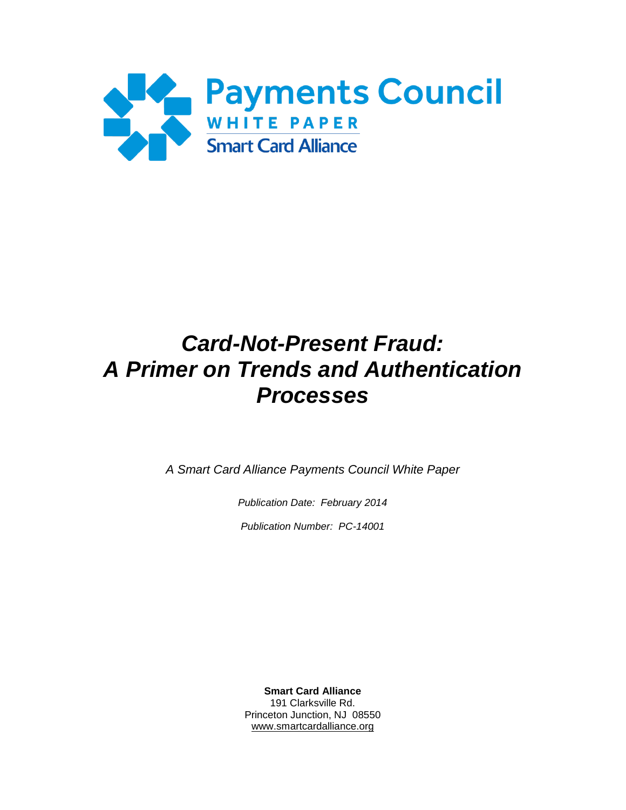

# *Card-Not-Present Fraud: A Primer on Trends and Authentication Processes*

*A Smart Card Alliance Payments Council White Paper*

*Publication Date: February 2014*

*Publication Number: PC-14001*

**Smart Card Alliance** 191 Clarksville Rd. Princeton Junction, NJ 08550 [www.smartcardalliance.org](http://www.smartcardalliance.org/)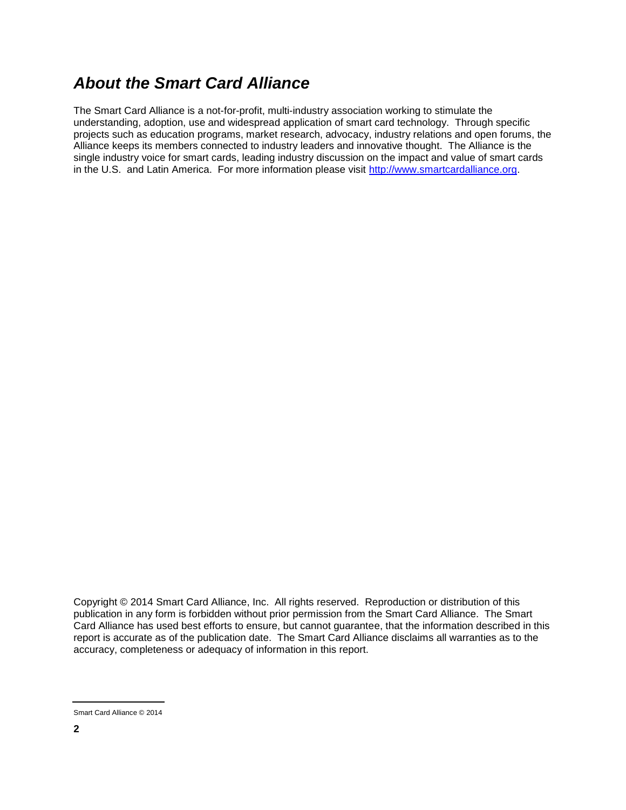### *About the Smart Card Alliance*

The Smart Card Alliance is a not-for-profit, multi-industry association working to stimulate the understanding, adoption, use and widespread application of smart card technology. Through specific projects such as education programs, market research, advocacy, industry relations and open forums, the Alliance keeps its members connected to industry leaders and innovative thought. The Alliance is the single industry voice for smart cards, leading industry discussion on the impact and value of smart cards in the U.S. and Latin America. For more information please visit [http://www.smartcardalliance.org.](http://www.smartcardalliance.org/)

Copyright © 2014 Smart Card Alliance, Inc. All rights reserved. Reproduction or distribution of this publication in any form is forbidden without prior permission from the Smart Card Alliance. The Smart Card Alliance has used best efforts to ensure, but cannot guarantee, that the information described in this report is accurate as of the publication date. The Smart Card Alliance disclaims all warranties as to the accuracy, completeness or adequacy of information in this report.

Smart Card Alliance © 2014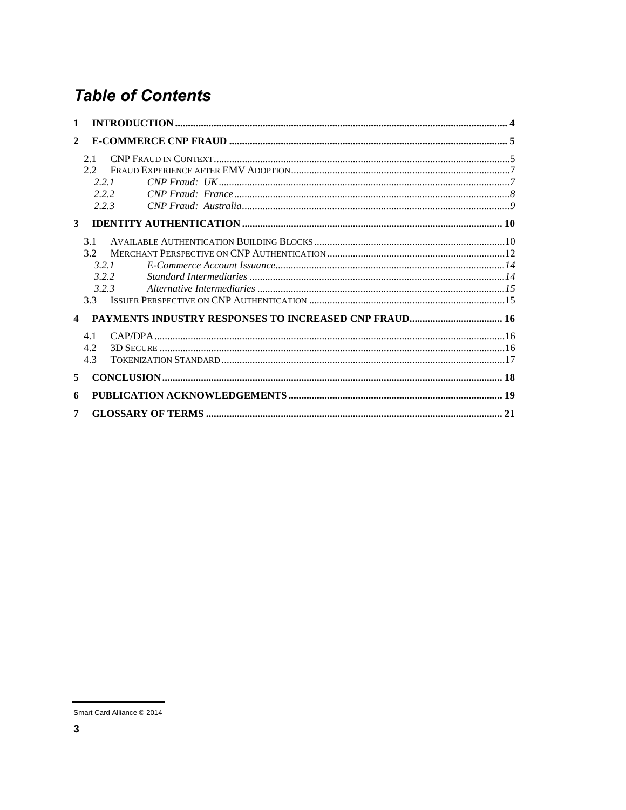# **Table of Contents**

| $\mathbf{1}$ |  |
|--------------|--|
| $\mathbf{2}$ |  |
| 2.1          |  |
| 2.2          |  |
| 221          |  |
| 222          |  |
| 2.2.3        |  |
| 3            |  |
| 3.1          |  |
| 3.2          |  |
| 321          |  |
| 3.2.2        |  |
| 323          |  |
| 33           |  |
|              |  |
| 4.1          |  |
| 4.2          |  |
| 4.3          |  |
| 5            |  |
| 6            |  |
| 7            |  |

Smart Card Alliance © 2014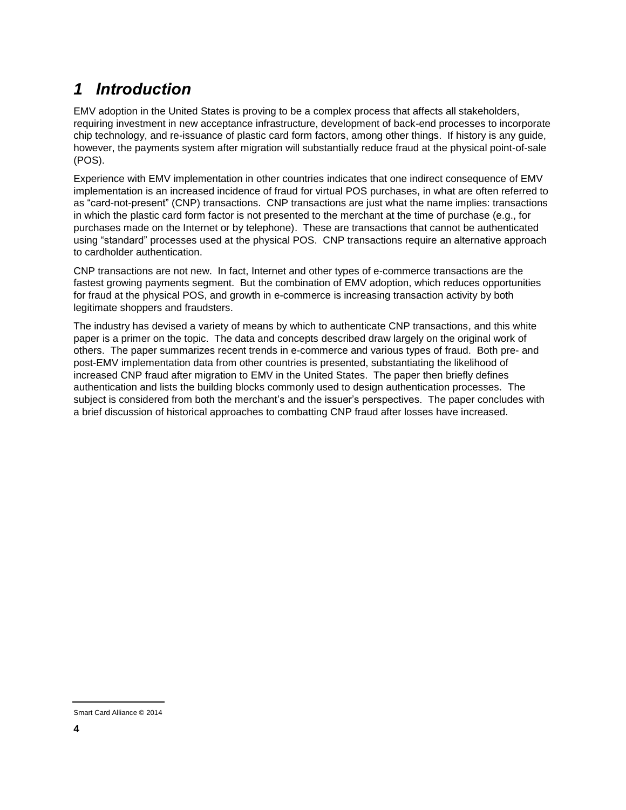# <span id="page-3-0"></span>*1 Introduction*

EMV adoption in the United States is proving to be a complex process that affects all stakeholders, requiring investment in new acceptance infrastructure, development of back-end processes to incorporate chip technology, and re-issuance of plastic card form factors, among other things. If history is any guide, however, the payments system after migration will substantially reduce fraud at the physical point-of-sale (POS).

Experience with EMV implementation in other countries indicates that one indirect consequence of EMV implementation is an increased incidence of fraud for virtual POS purchases, in what are often referred to as "card-not-present" (CNP) transactions. CNP transactions are just what the name implies: transactions in which the plastic card form factor is not presented to the merchant at the time of purchase (e.g., for purchases made on the Internet or by telephone). These are transactions that cannot be authenticated using "standard" processes used at the physical POS. CNP transactions require an alternative approach to cardholder authentication.

CNP transactions are not new. In fact, Internet and other types of e-commerce transactions are the fastest growing payments segment. But the combination of EMV adoption, which reduces opportunities for fraud at the physical POS, and growth in e-commerce is increasing transaction activity by both legitimate shoppers and fraudsters.

The industry has devised a variety of means by which to authenticate CNP transactions, and this white paper is a primer on the topic. The data and concepts described draw largely on the original work of others. The paper summarizes recent trends in e-commerce and various types of fraud. Both pre- and post-EMV implementation data from other countries is presented, substantiating the likelihood of increased CNP fraud after migration to EMV in the United States. The paper then briefly defines authentication and lists the building blocks commonly used to design authentication processes. The subject is considered from both the merchant's and the issuer's perspectives. The paper concludes with a brief discussion of historical approaches to combatting CNP fraud after losses have increased.

Smart Card Alliance © 2014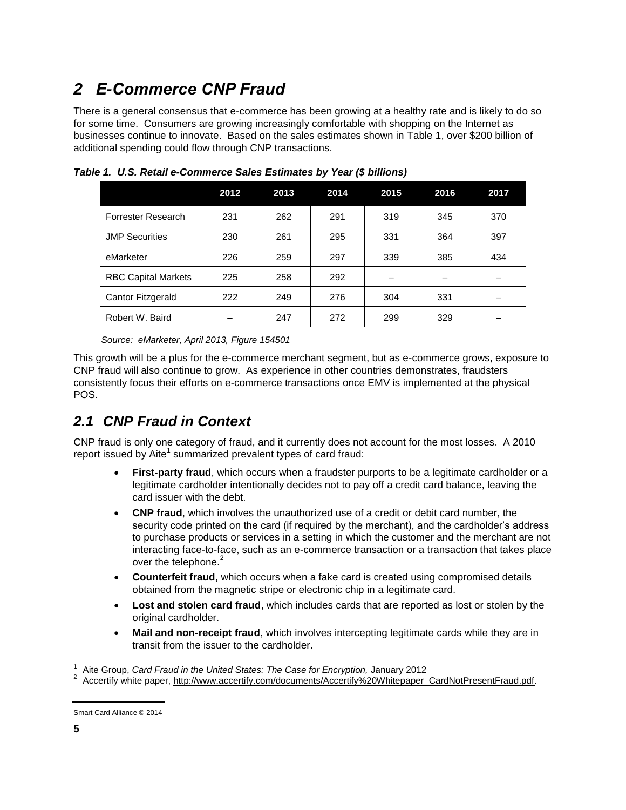# <span id="page-4-0"></span>*2 E-Commerce CNP Fraud*

There is a general consensus that e-commerce has been growing at a healthy rate and is likely to do so for some time. Consumers are growing increasingly comfortable with shopping on the Internet as businesses continue to innovate. Based on the sales estimates shown in [Table 1,](#page-4-2) over \$200 billion of additional spending could flow through CNP transactions.

|                            | 2012 | 2013 | 2014 | 2015 | 2016 | 2017 |
|----------------------------|------|------|------|------|------|------|
| Forrester Research         | 231  | 262  | 291  | 319  | 345  | 370  |
| <b>JMP Securities</b>      | 230  | 261  | 295  | 331  | 364  | 397  |
| eMarketer                  | 226  | 259  | 297  | 339  | 385  | 434  |
| <b>RBC Capital Markets</b> | 225  | 258  | 292  |      |      |      |
| Cantor Fitzgerald          | 222  | 249  | 276  | 304  | 331  |      |
| Robert W. Baird            |      | 247  | 272  | 299  | 329  |      |

<span id="page-4-2"></span>*Table 1. U.S. Retail e-Commerce Sales Estimates by Year (\$ billions)*

*Source: eMarketer, April 2013, Figure 154501* 

This growth will be a plus for the e-commerce merchant segment, but as e-commerce grows, exposure to CNP fraud will also continue to grow. As experience in other countries demonstrates, fraudsters consistently focus their efforts on e-commerce transactions once EMV is implemented at the physical POS.

### <span id="page-4-1"></span>*2.1 CNP Fraud in Context*

CNP fraud is only one category of fraud, and it currently does not account for the most losses. A 2010 report issued by Aite<sup>1</sup> summarized prevalent types of card fraud:

- **First-party fraud**, which occurs when a fraudster purports to be a legitimate cardholder or a legitimate cardholder intentionally decides not to pay off a credit card balance, leaving the card issuer with the debt.
- **CNP fraud**, which involves the unauthorized use of a credit or debit card number, the security code printed on the card (if required by the merchant), and the cardholder's address to purchase products or services in a setting in which the customer and the merchant are not interacting face-to-face, such as an e-commerce transaction or a transaction that takes place over the telephone.<sup>2</sup>
- **Counterfeit fraud**, which occurs when a fake card is created using compromised details obtained from the magnetic stripe or electronic chip in a legitimate card.
- **Lost and stolen card fraud**, which includes cards that are reported as lost or stolen by the original cardholder.
- **Mail and non-receipt fraud**, which involves intercepting legitimate cards while they are in transit from the issuer to the cardholder.

 $\overline{a}$ 

<sup>1</sup> Aite Group, *Card Fraud in the United States: The Case for Encryption,* January 2012

<sup>&</sup>lt;sup>2</sup> Accertify white paper, http://www.accertify.com/documents/Accertify%20Whitepaper\_CardNotPresentFraud.pdf.

Smart Card Alliance © 2014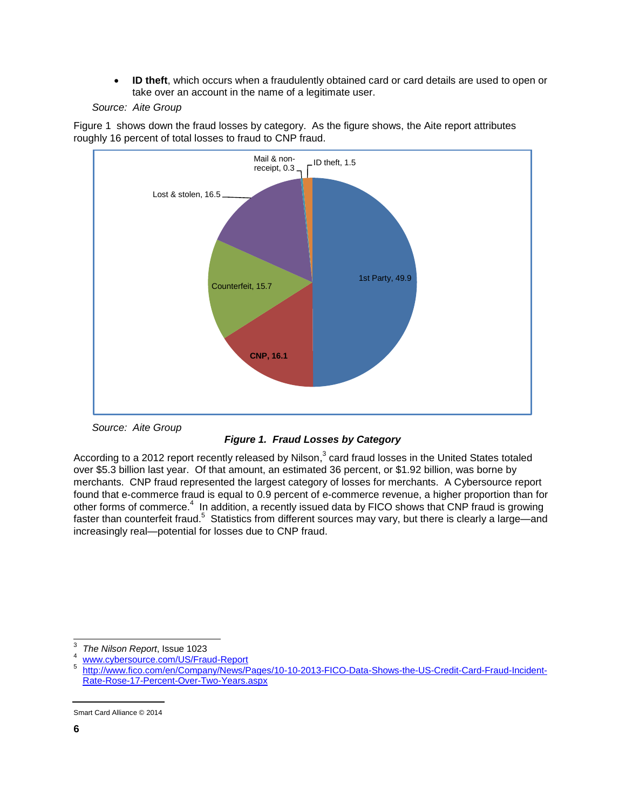**ID theft**, which occurs when a fraudulently obtained card or card details are used to open or take over an account in the name of a legitimate user.

*[Source: Aite Group](#page-5-0)*





<span id="page-5-0"></span>*Source: Aite Group*

*Figure 1. Fraud Losses by Category*

According to a 2012 report recently released by Nilson, $^3$  card fraud losses in the United States totaled over \$5.3 billion last year. Of that amount, an estimated 36 percent, or \$1.92 billion, was borne by merchants. CNP fraud represented the largest category of losses for merchants. A Cybersource report found that e-commerce fraud is equal to 0.9 percent of e-commerce revenue, a higher proportion than for other forms of commerce.<sup>4</sup> In addition, a recently issued data by FICO shows that CNP fraud is growing faster than counterfeit fraud.<sup>5</sup> Statistics from different sources may vary, but there is clearly a large—and increasingly real—potential for losses due to CNP fraud.

 $\overline{a}$ 3 *The Nilson Report*, Issue 1023

[www.cybersource.com/US/Fraud-Report](http://www.cybersource.com/US/Fraud-Report)

<sup>5</sup> [http://www.fico.com/en/Company/News/Pages/10-10-2013-FICO-Data-Shows-the-US-Credit-Card-Fraud-Incident-](http://www.fico.com/en/Company/News/Pages/10-10-2013-FICO-Data-Shows-the-US-Credit-Card-Fraud-Incident-Rate-Rose-17-Percent-Over-Two-Years.aspx)[Rate-Rose-17-Percent-Over-Two-Years.aspx](http://www.fico.com/en/Company/News/Pages/10-10-2013-FICO-Data-Shows-the-US-Credit-Card-Fraud-Incident-Rate-Rose-17-Percent-Over-Two-Years.aspx)

Smart Card Alliance © 2014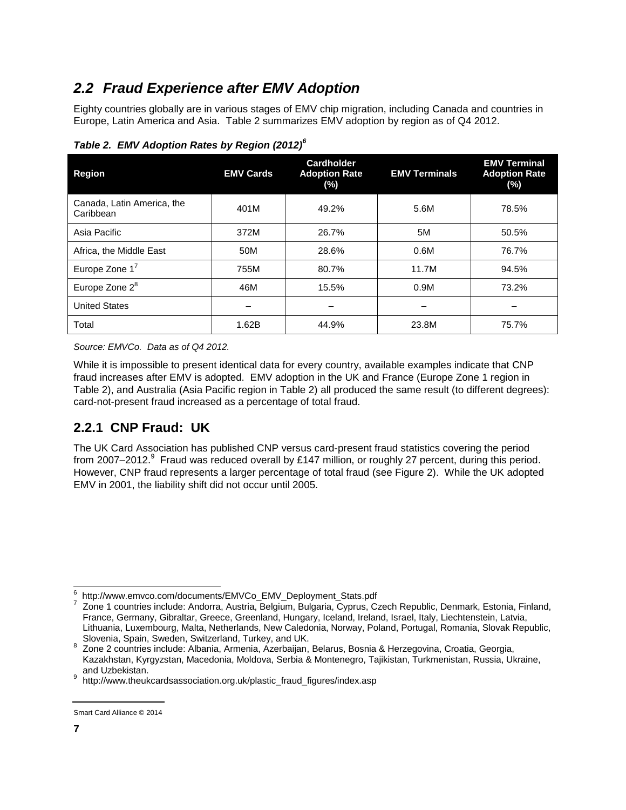### <span id="page-6-0"></span>*2.2 Fraud Experience after EMV Adoption*

Eighty countries globally are in various stages of EMV chip migration, including Canada and countries in Europe, Latin America and Asia. [Table 2](#page-6-2) summarizes EMV adoption by region as of Q4 2012.

| <b>Region</b>                           | <b>EMV Cards</b> | <b>Cardholder</b><br><b>Adoption Rate</b><br>(%) | <b>EMV Terminals</b> | <b>EMV Terminal</b><br><b>Adoption Rate</b><br>$(\%)$ |
|-----------------------------------------|------------------|--------------------------------------------------|----------------------|-------------------------------------------------------|
| Canada, Latin America, the<br>Caribbean | 401M             | 49.2%                                            | 5.6M                 | 78.5%                                                 |
| Asia Pacific                            | 372M             | 26.7%                                            | 5M                   | 50.5%                                                 |
| Africa, the Middle East                 | 50M              | 28.6%                                            | 0.6M                 | 76.7%                                                 |
| Europe Zone $1^7$                       | 755M             | 80.7%                                            | 11.7M                | 94.5%                                                 |
| Europe Zone 2 <sup>8</sup>              | 46M              | 15.5%                                            | 0.9M                 | 73.2%                                                 |
| <b>United States</b>                    |                  |                                                  |                      |                                                       |
| Total                                   | 1.62B            | 44.9%                                            | 23.8M                | 75.7%                                                 |

<span id="page-6-2"></span>*Table 2. EMV Adoption Rates by Region (2012) 6*

*Source: EMVCo. Data as of Q4 2012.*

While it is impossible to present identical data for every country, available examples indicate that CNP fraud increases after EMV is adopted. EMV adoption in the UK and France (Europe Zone 1 region in Table 2), and Australia (Asia Pacific region in Table 2) all produced the same result (to different degrees): card-not-present fraud increased as a percentage of total fraud.

### <span id="page-6-1"></span>**2.2.1 CNP Fraud: UK**

The UK Card Association has published CNP versus card-present fraud statistics covering the period from 2007–2012. $^9$  Fraud was reduced overall by £147 million, or roughly 27 percent, during this period. However, CNP fraud represents a larger percentage of total fraud (see Figure 2). While the UK adopted EMV in 2001, the liability shift did not occur until 2005.

l 6 http://www.emvco.com/documents/EMVCo\_EMV\_Deployment\_Stats.pdf

<sup>7</sup> Zone 1 countries include: Andorra, Austria, Belgium, Bulgaria, Cyprus, Czech Republic, Denmark, Estonia, Finland, France, Germany, Gibraltar, Greece, Greenland, Hungary, Iceland, Ireland, Israel, Italy, Liechtenstein, Latvia, Lithuania, Luxembourg, Malta, Netherlands, New Caledonia, Norway, Poland, Portugal, Romania, Slovak Republic, Slovenia, Spain, Sweden, Switzerland, Turkey, and UK.

<sup>8</sup> Zone 2 countries include: Albania, Armenia, Azerbaijan, Belarus, Bosnia & Herzegovina, Croatia, Georgia, Kazakhstan, Kyrgyzstan, Macedonia, Moldova, Serbia & Montenegro, Tajikistan, Turkmenistan, Russia, Ukraine, and Uzbekistan.

<sup>9</sup> http://www.theukcardsassociation.org.uk/plastic\_fraud\_figures/index.asp

Smart Card Alliance © 2014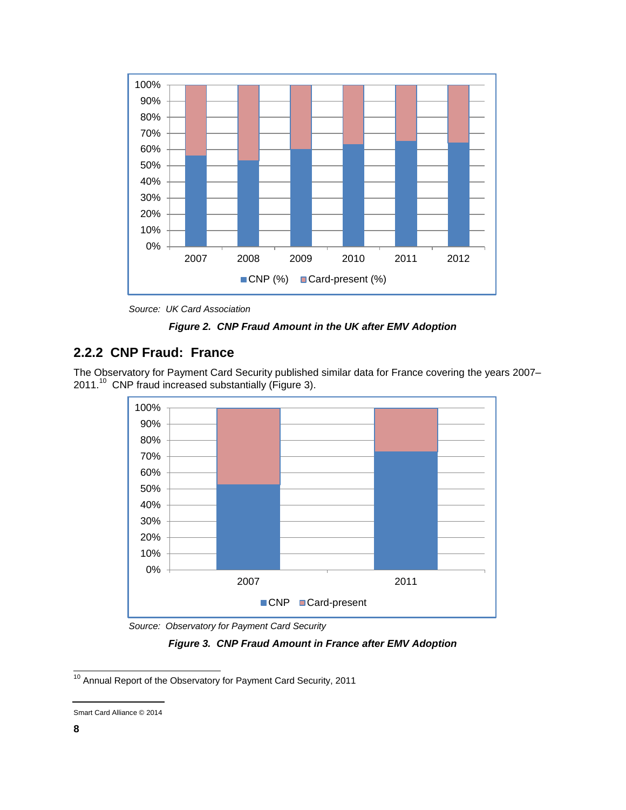

*Source: UK Card Association*

*Figure 2. CNP Fraud Amount in the UK after EMV Adoption*

#### <span id="page-7-0"></span>**2.2.2 CNP Fraud: France**

The Observatory for Payment Card Security published similar data for France covering the years 2007– 2011.<sup>10</sup> CNP fraud increased substantially [\(Figure 3\)](#page-7-1).



*Source: Observatory for Payment Card Security*

*Figure 3. CNP Fraud Amount in France after EMV Adoption*

<span id="page-7-1"></span>l

 $10$  Annual Report of the Observatory for Payment Card Security, 2011

Smart Card Alliance © 2014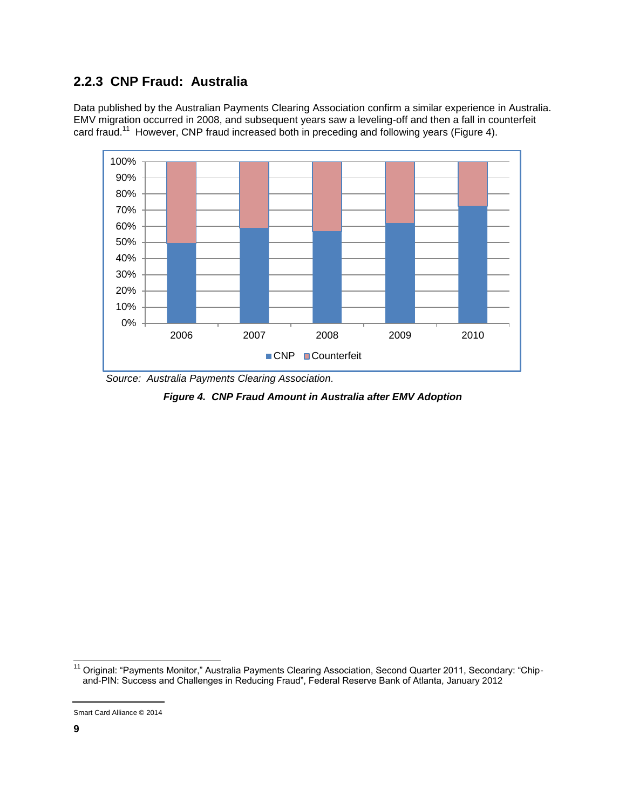#### <span id="page-8-0"></span>**2.2.3 CNP Fraud: Australia**

Data published by the Australian Payments Clearing Association confirm a similar experience in Australia. EMV migration occurred in 2008, and subsequent years saw a leveling-off and then a fall in counterfeit card fraud.<sup>11</sup> However, CNP fraud increased both in preceding and following years [\(Figure 4\)](#page-8-1).



<span id="page-8-1"></span>*Source: Australia Payments Clearing Association.*

*Figure 4. CNP Fraud Amount in Australia after EMV Adoption*

l

<sup>&</sup>lt;sup>11</sup> Original: "Payments Monitor," Australia Payments Clearing Association, Second Quarter 2011, Secondary: "Chipand-PIN: Success and Challenges in Reducing Fraud", Federal Reserve Bank of Atlanta, January 2012

Smart Card Alliance © 2014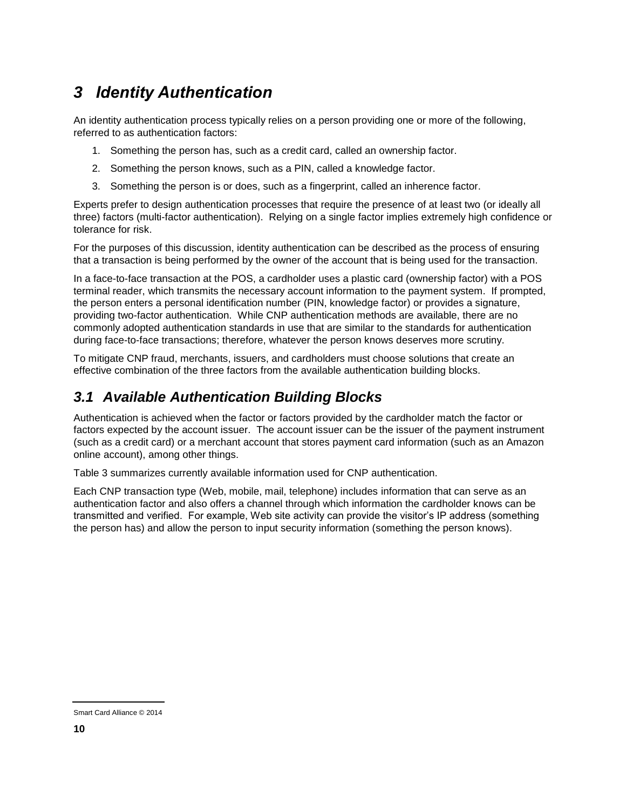# <span id="page-9-0"></span>*3 Identity Authentication*

An identity authentication process typically relies on a person providing one or more of the following, referred to as authentication factors:

- 1. Something the person has, such as a credit card, called an ownership factor.
- 2. Something the person knows, such as a PIN, called a knowledge factor.
- 3. Something the person is or does, such as a fingerprint, called an inherence factor.

Experts prefer to design authentication processes that require the presence of at least two (or ideally all three) factors (multi-factor authentication). Relying on a single factor implies extremely high confidence or tolerance for risk.

For the purposes of this discussion, identity authentication can be described as the process of ensuring that a transaction is being performed by the owner of the account that is being used for the transaction.

In a face-to-face transaction at the POS, a cardholder uses a plastic card (ownership factor) with a POS terminal reader, which transmits the necessary account information to the payment system. If prompted, the person enters a personal identification number (PIN, knowledge factor) or provides a signature, providing two-factor authentication. While CNP authentication methods are available, there are no commonly adopted authentication standards in use that are similar to the standards for authentication during face-to-face transactions; therefore, whatever the person knows deserves more scrutiny.

To mitigate CNP fraud, merchants, issuers, and cardholders must choose solutions that create an effective combination of the three factors from the available authentication building blocks.

### <span id="page-9-1"></span>*3.1 Available Authentication Building Blocks*

Authentication is achieved when the factor or factors provided by the cardholder match the factor or factors expected by the account issuer. The account issuer can be the issuer of the payment instrument (such as a credit card) or a merchant account that stores payment card information (such as an Amazon online account), among other things.

[Table 3](#page-10-0) summarizes currently available information used for CNP authentication.

Each CNP transaction type (Web, mobile, mail, telephone) includes information that can serve as an authentication factor and also offers a channel through which information the cardholder knows can be transmitted and verified. For example, Web site activity can provide the visitor's IP address (something the person has) and allow the person to input security information (something the person knows).

Smart Card Alliance © 2014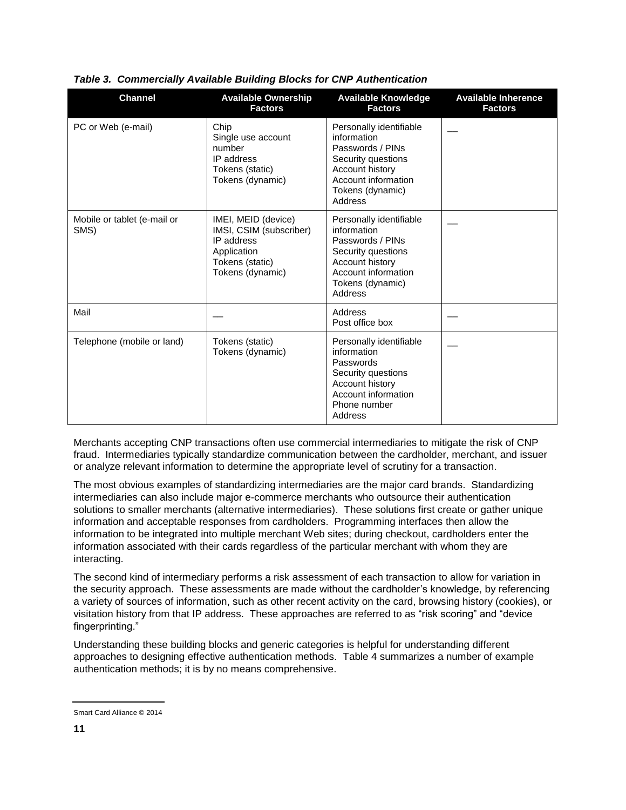| <b>Channel</b>                      | <b>Available Ownership</b><br><b>Factors</b>                                                                       | <b>Available Knowledge</b><br><b>Factors</b>                                                                                                              | <b>Available Inherence</b><br><b>Factors</b> |
|-------------------------------------|--------------------------------------------------------------------------------------------------------------------|-----------------------------------------------------------------------------------------------------------------------------------------------------------|----------------------------------------------|
| PC or Web (e-mail)                  | Chip<br>Single use account<br>number<br>IP address<br>Tokens (static)<br>Tokens (dynamic)                          | Personally identifiable<br>information<br>Passwords / PINs<br>Security questions<br>Account history<br>Account information<br>Tokens (dynamic)<br>Address |                                              |
| Mobile or tablet (e-mail or<br>SMS) | IMEI, MEID (device)<br>IMSI, CSIM (subscriber)<br>IP address<br>Application<br>Tokens (static)<br>Tokens (dynamic) | Personally identifiable<br>information<br>Passwords / PINs<br>Security questions<br>Account history<br>Account information<br>Tokens (dynamic)<br>Address |                                              |
| Mail                                |                                                                                                                    | Address<br>Post office box                                                                                                                                |                                              |
| Telephone (mobile or land)          | Tokens (static)<br>Tokens (dynamic)                                                                                | Personally identifiable<br>information<br>Passwords<br>Security questions<br>Account history<br>Account information<br>Phone number<br>Address            |                                              |

#### <span id="page-10-0"></span>*Table 3. Commercially Available Building Blocks for CNP Authentication*

Merchants accepting CNP transactions often use commercial intermediaries to mitigate the risk of CNP fraud. Intermediaries typically standardize communication between the cardholder, merchant, and issuer or analyze relevant information to determine the appropriate level of scrutiny for a transaction.

The most obvious examples of standardizing intermediaries are the major card brands. Standardizing intermediaries can also include major e-commerce merchants who outsource their authentication solutions to smaller merchants (alternative intermediaries). These solutions first create or gather unique information and acceptable responses from cardholders. Programming interfaces then allow the information to be integrated into multiple merchant Web sites; during checkout, cardholders enter the information associated with their cards regardless of the particular merchant with whom they are interacting.

The second kind of intermediary performs a risk assessment of each transaction to allow for variation in the security approach. These assessments are made without the cardholder's knowledge, by referencing a variety of sources of information, such as other recent activity on the card, browsing history (cookies), or visitation history from that IP address. These approaches are referred to as "risk scoring" and "device fingerprinting."

Understanding these building blocks and generic categories is helpful for understanding different approaches to designing effective authentication methods. [Table 4](#page-11-1) summarizes a number of example authentication methods; it is by no means comprehensive.

Smart Card Alliance © 2014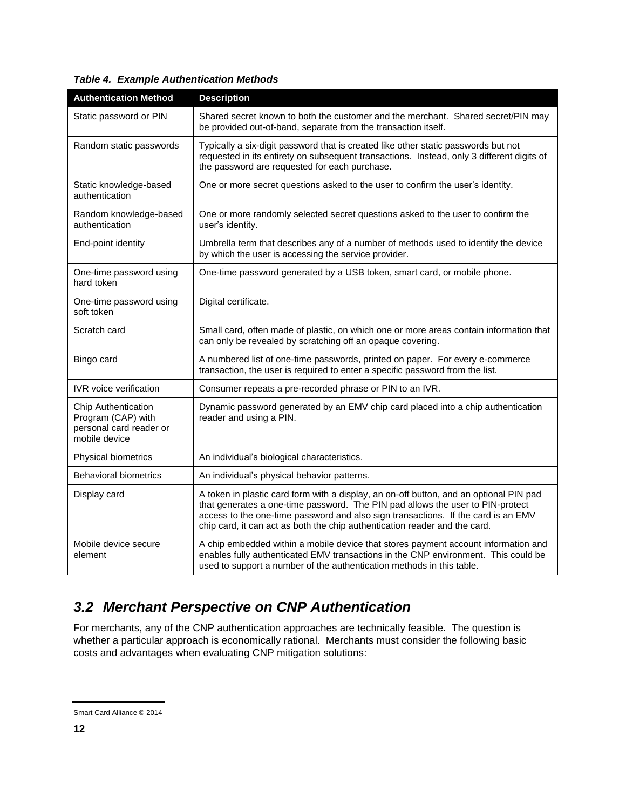| <b>Authentication Method</b>                                                          | <b>Description</b>                                                                                                                                                                                                                                                                                                                          |
|---------------------------------------------------------------------------------------|---------------------------------------------------------------------------------------------------------------------------------------------------------------------------------------------------------------------------------------------------------------------------------------------------------------------------------------------|
| Static password or PIN                                                                | Shared secret known to both the customer and the merchant. Shared secret/PIN may<br>be provided out-of-band, separate from the transaction itself.                                                                                                                                                                                          |
| Random static passwords                                                               | Typically a six-digit password that is created like other static passwords but not<br>requested in its entirety on subsequent transactions. Instead, only 3 different digits of<br>the password are requested for each purchase.                                                                                                            |
| Static knowledge-based<br>authentication                                              | One or more secret questions asked to the user to confirm the user's identity.                                                                                                                                                                                                                                                              |
| Random knowledge-based<br>authentication                                              | One or more randomly selected secret questions asked to the user to confirm the<br>user's identity.                                                                                                                                                                                                                                         |
| End-point identity                                                                    | Umbrella term that describes any of a number of methods used to identify the device<br>by which the user is accessing the service provider.                                                                                                                                                                                                 |
| One-time password using<br>hard token                                                 | One-time password generated by a USB token, smart card, or mobile phone.                                                                                                                                                                                                                                                                    |
| One-time password using<br>soft token                                                 | Digital certificate.                                                                                                                                                                                                                                                                                                                        |
| Scratch card                                                                          | Small card, often made of plastic, on which one or more areas contain information that<br>can only be revealed by scratching off an opaque covering.                                                                                                                                                                                        |
| Bingo card                                                                            | A numbered list of one-time passwords, printed on paper. For every e-commerce<br>transaction, the user is required to enter a specific password from the list.                                                                                                                                                                              |
| IVR voice verification                                                                | Consumer repeats a pre-recorded phrase or PIN to an IVR.                                                                                                                                                                                                                                                                                    |
| Chip Authentication<br>Program (CAP) with<br>personal card reader or<br>mobile device | Dynamic password generated by an EMV chip card placed into a chip authentication<br>reader and using a PIN.                                                                                                                                                                                                                                 |
| Physical biometrics                                                                   | An individual's biological characteristics.                                                                                                                                                                                                                                                                                                 |
| <b>Behavioral biometrics</b>                                                          | An individual's physical behavior patterns.                                                                                                                                                                                                                                                                                                 |
| Display card                                                                          | A token in plastic card form with a display, an on-off button, and an optional PIN pad<br>that generates a one-time password. The PIN pad allows the user to PIN-protect<br>access to the one-time password and also sign transactions. If the card is an EMV<br>chip card, it can act as both the chip authentication reader and the card. |
| Mobile device secure<br>element                                                       | A chip embedded within a mobile device that stores payment account information and<br>enables fully authenticated EMV transactions in the CNP environment. This could be<br>used to support a number of the authentication methods in this table.                                                                                           |

<span id="page-11-1"></span>*Table 4. Example Authentication Methods*

### <span id="page-11-0"></span>*3.2 Merchant Perspective on CNP Authentication*

For merchants, any of the CNP authentication approaches are technically feasible. The question is whether a particular approach is economically rational. Merchants must consider the following basic costs and advantages when evaluating CNP mitigation solutions:

Smart Card Alliance © 2014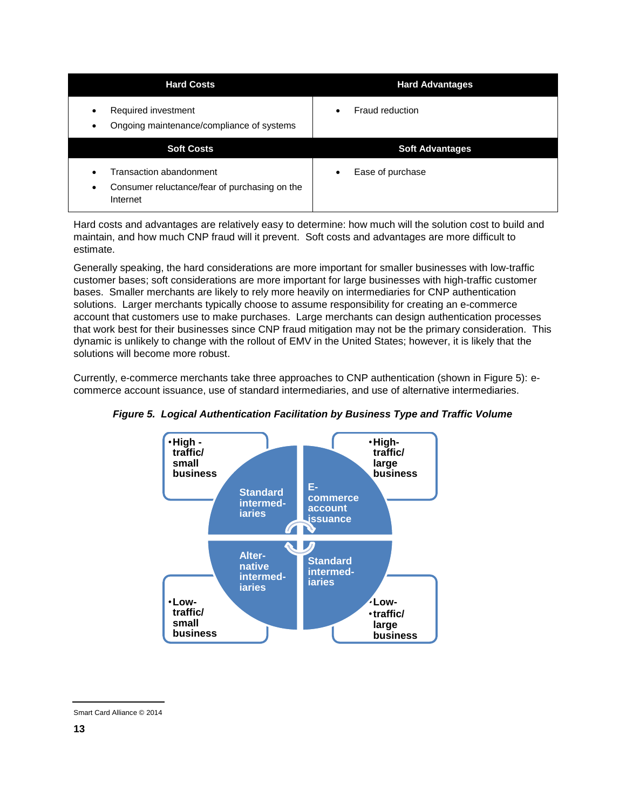| <b>Hard Costs</b>                                                          | <b>Hard Advantages</b> |
|----------------------------------------------------------------------------|------------------------|
| Required investment<br>٠<br>Ongoing maintenance/compliance of systems<br>٠ | <b>Fraud reduction</b> |
|                                                                            |                        |
| <b>Soft Costs</b>                                                          | <b>Soft Advantages</b> |

Hard costs and advantages are relatively easy to determine: how much will the solution cost to build and maintain, and how much CNP fraud will it prevent. Soft costs and advantages are more difficult to estimate.

Generally speaking, the hard considerations are more important for smaller businesses with low-traffic customer bases; soft considerations are more important for large businesses with high-traffic customer bases. Smaller merchants are likely to rely more heavily on intermediaries for CNP authentication solutions. Larger merchants typically choose to assume responsibility for creating an e-commerce account that customers use to make purchases. Large merchants can design authentication processes that work best for their businesses since CNP fraud mitigation may not be the primary consideration. This dynamic is unlikely to change with the rollout of EMV in the United States; however, it is likely that the solutions will become more robust.

Currently, e-commerce merchants take three approaches to CNP authentication (shown in Figure 5): ecommerce account issuance, use of standard intermediaries, and use of alternative intermediaries.



*Figure 5. Logical Authentication Facilitation by Business Type and Traffic Volume*

Smart Card Alliance © 2014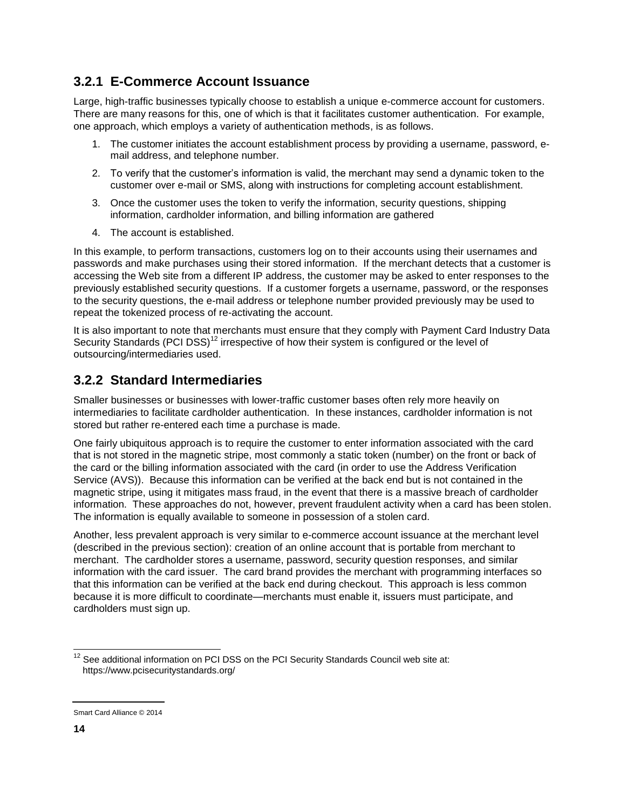#### <span id="page-13-0"></span>**3.2.1 E-Commerce Account Issuance**

Large, high-traffic businesses typically choose to establish a unique e-commerce account for customers. There are many reasons for this, one of which is that it facilitates customer authentication. For example, one approach, which employs a variety of authentication methods, is as follows.

- 1. The customer initiates the account establishment process by providing a username, password, email address, and telephone number.
- 2. To verify that the customer's information is valid, the merchant may send a dynamic token to the customer over e-mail or SMS, along with instructions for completing account establishment.
- 3. Once the customer uses the token to verify the information, security questions, shipping information, cardholder information, and billing information are gathered
- 4. The account is established.

In this example, to perform transactions, customers log on to their accounts using their usernames and passwords and make purchases using their stored information. If the merchant detects that a customer is accessing the Web site from a different IP address, the customer may be asked to enter responses to the previously established security questions. If a customer forgets a username, password, or the responses to the security questions, the e-mail address or telephone number provided previously may be used to repeat the tokenized process of re-activating the account.

It is also important to note that merchants must ensure that they comply with Payment Card Industry Data Security Standards (PCI DSS)<sup>12</sup> irrespective of how their system is configured or the level of outsourcing/intermediaries used.

#### <span id="page-13-1"></span>**3.2.2 Standard Intermediaries**

Smaller businesses or businesses with lower-traffic customer bases often rely more heavily on intermediaries to facilitate cardholder authentication. In these instances, cardholder information is not stored but rather re-entered each time a purchase is made.

One fairly ubiquitous approach is to require the customer to enter information associated with the card that is not stored in the magnetic stripe, most commonly a static token (number) on the front or back of the card or the billing information associated with the card (in order to use the Address Verification Service (AVS)). Because this information can be verified at the back end but is not contained in the magnetic stripe, using it mitigates mass fraud, in the event that there is a massive breach of cardholder information. These approaches do not, however, prevent fraudulent activity when a card has been stolen. The information is equally available to someone in possession of a stolen card.

Another, less prevalent approach is very similar to e-commerce account issuance at the merchant level (described in the previous section): creation of an online account that is portable from merchant to merchant. The cardholder stores a username, password, security question responses, and similar information with the card issuer. The card brand provides the merchant with programming interfaces so that this information can be verified at the back end during checkout. This approach is less common because it is more difficult to coordinate—merchants must enable it, issuers must participate, and cardholders must sign up.

l  $12$  See additional information on PCI DSS on the PCI Security Standards Council web site at: https://www.pcisecuritystandards.org/

Smart Card Alliance © 2014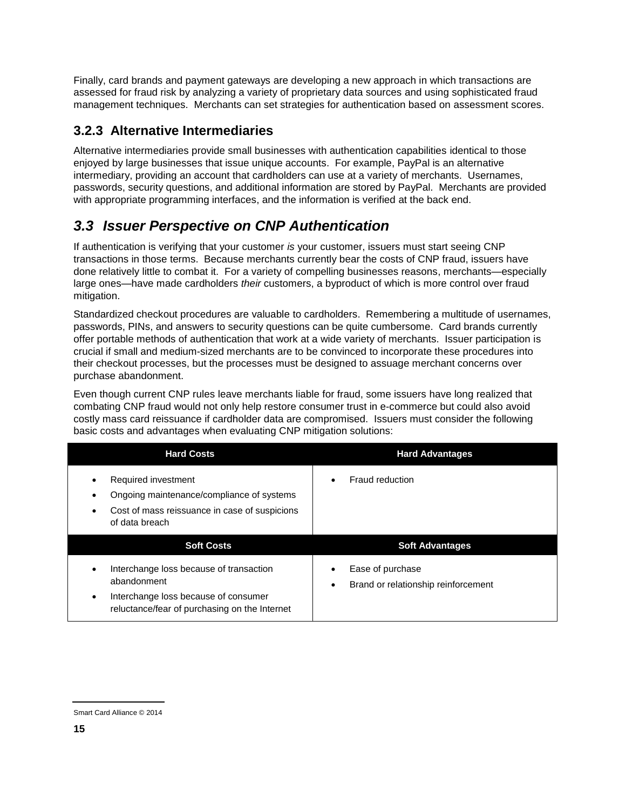Finally, card brands and payment gateways are developing a new approach in which transactions are assessed for fraud risk by analyzing a variety of proprietary data sources and using sophisticated fraud management techniques. Merchants can set strategies for authentication based on assessment scores.

#### <span id="page-14-0"></span>**3.2.3 Alternative Intermediaries**

Alternative intermediaries provide small businesses with authentication capabilities identical to those enjoyed by large businesses that issue unique accounts. For example, PayPal is an alternative intermediary, providing an account that cardholders can use at a variety of merchants. Usernames, passwords, security questions, and additional information are stored by PayPal. Merchants are provided with appropriate programming interfaces, and the information is verified at the back end.

### <span id="page-14-1"></span>*3.3 Issuer Perspective on CNP Authentication*

If authentication is verifying that your customer *is* your customer, issuers must start seeing CNP transactions in those terms. Because merchants currently bear the costs of CNP fraud, issuers have done relatively little to combat it. For a variety of compelling businesses reasons, merchants—especially large ones—have made cardholders *their* customers, a byproduct of which is more control over fraud mitigation.

Standardized checkout procedures are valuable to cardholders. Remembering a multitude of usernames, passwords, PINs, and answers to security questions can be quite cumbersome. Card brands currently offer portable methods of authentication that work at a wide variety of merchants. Issuer participation is crucial if small and medium-sized merchants are to be convinced to incorporate these procedures into their checkout processes, but the processes must be designed to assuage merchant concerns over purchase abandonment.

Even though current CNP rules leave merchants liable for fraud, some issuers have long realized that combating CNP fraud would not only help restore consumer trust in e-commerce but could also avoid costly mass card reissuance if cardholder data are compromised. Issuers must consider the following basic costs and advantages when evaluating CNP mitigation solutions:

| <b>Hard Costs</b>                                                                                                                                                         | <b>Hard Advantages</b>                                                    |
|---------------------------------------------------------------------------------------------------------------------------------------------------------------------------|---------------------------------------------------------------------------|
| Required investment<br>$\bullet$<br>Ongoing maintenance/compliance of systems<br>Cost of mass reissuance in case of suspicions<br>of data breach                          | Fraud reduction<br>$\bullet$                                              |
| <b>Soft Costs</b>                                                                                                                                                         | <b>Soft Advantages</b>                                                    |
| Interchange loss because of transaction<br>$\bullet$<br>abandonment<br>Interchange loss because of consumer<br>$\bullet$<br>reluctance/fear of purchasing on the Internet | Ease of purchase<br>$\bullet$<br>Brand or relationship reinforcement<br>٠ |

Smart Card Alliance © 2014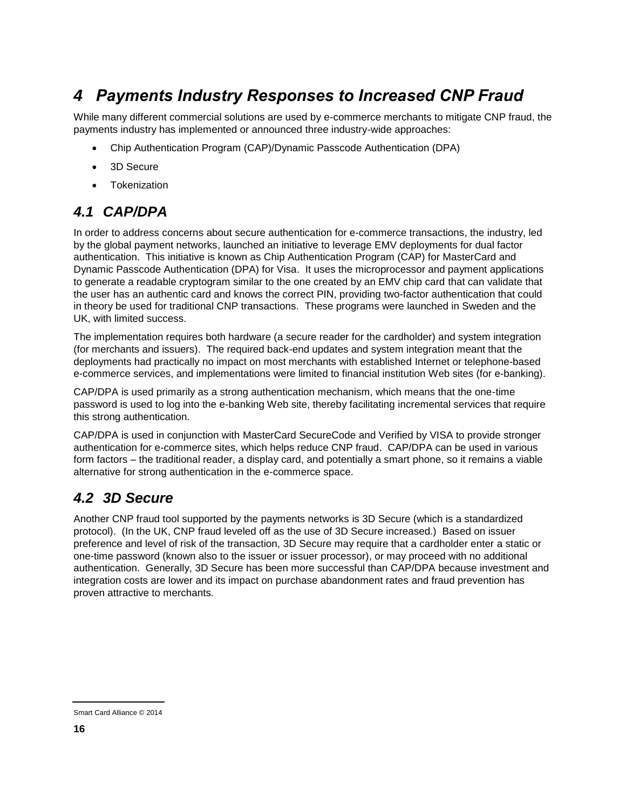# <span id="page-15-0"></span>*4 Payments Industry Responses to Increased CNP Fraud*

While many different commercial solutions are used by e-commerce merchants to mitigate CNP fraud, the payments industry has implemented or announced three industry-wide approaches:

- Chip Authentication Program (CAP)/Dynamic Passcode Authentication (DPA)
- 3D Secure
- Tokenization

### <span id="page-15-1"></span>*4.1 CAP/DPA*

In order to address concerns about secure authentication for e-commerce transactions, the industry, led by the global payment networks, launched an initiative to leverage EMV deployments for dual factor authentication. This initiative is known as Chip Authentication Program (CAP) for MasterCard and Dynamic Passcode Authentication (DPA) for Visa. It uses the microprocessor and payment applications to generate a readable cryptogram similar to the one created by an EMV chip card that can validate that the user has an authentic card and knows the correct PIN, providing two-factor authentication that could in theory be used for traditional CNP transactions. These programs were launched in Sweden and the UK, with limited success.

The implementation requires both hardware (a secure reader for the cardholder) and system integration (for merchants and issuers). The required back-end updates and system integration meant that the deployments had practically no impact on most merchants with established Internet or telephone-based e-commerce services, and implementations were limited to financial institution Web sites (for e-banking).

CAP/DPA is used primarily as a strong authentication mechanism, which means that the one-time password is used to log into the e-banking Web site, thereby facilitating incremental services that require this strong authentication.

CAP/DPA is used in conjunction with MasterCard SecureCode and Verified by VISA to provide stronger authentication for e-commerce sites, which helps reduce CNP fraud. CAP/DPA can be used in various form factors – the traditional reader, a display card, and potentially a smart phone, so it remains a viable alternative for strong authentication in the e-commerce space.

### <span id="page-15-2"></span>*4.2 3D Secure*

Another CNP fraud tool supported by the payments networks is 3D Secure (which is a standardized protocol). (In the UK, CNP fraud leveled off as the use of 3D Secure increased.) Based on issuer preference and level of risk of the transaction, 3D Secure may require that a cardholder enter a static or one-time password (known also to the issuer or issuer processor), or may proceed with no additional authentication. Generally, 3D Secure has been more successful than CAP/DPA because investment and integration costs are lower and its impact on purchase abandonment rates and fraud prevention has proven attractive to merchants.

Smart Card Alliance © 2014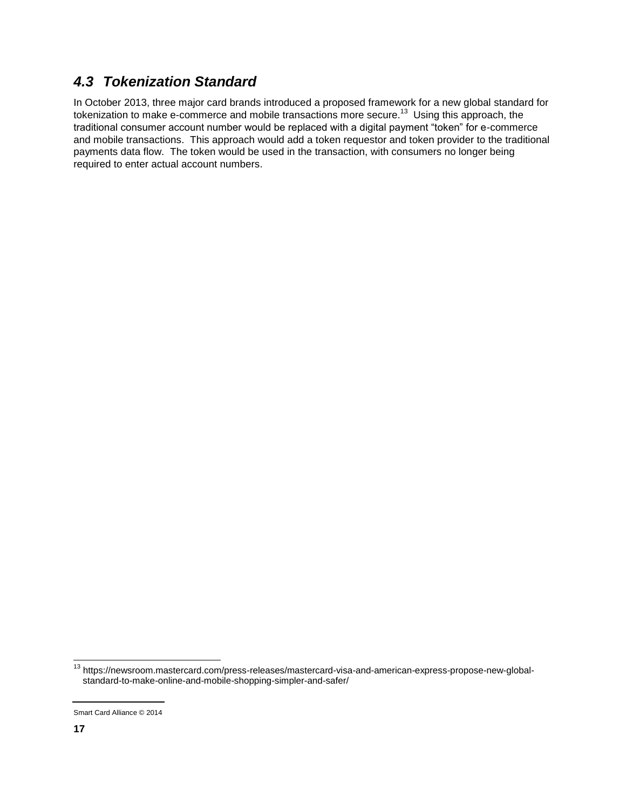### <span id="page-16-0"></span>*4.3 Tokenization Standard*

In October 2013, three major card brands introduced a proposed framework for a new global standard for tokenization to make e-commerce and mobile transactions more secure.<sup>13</sup> Using this approach, the traditional consumer account number would be replaced with a digital payment "token" for e-commerce and mobile transactions. This approach would add a token requestor and token provider to the traditional payments data flow. The token would be used in the transaction, with consumers no longer being required to enter actual account numbers.

l

<sup>&</sup>lt;sup>13</sup> https://newsroom.mastercard.com/press-releases/mastercard-visa-and-american-express-propose-new-globalstandard-to-make-online-and-mobile-shopping-simpler-and-safer/

Smart Card Alliance © 2014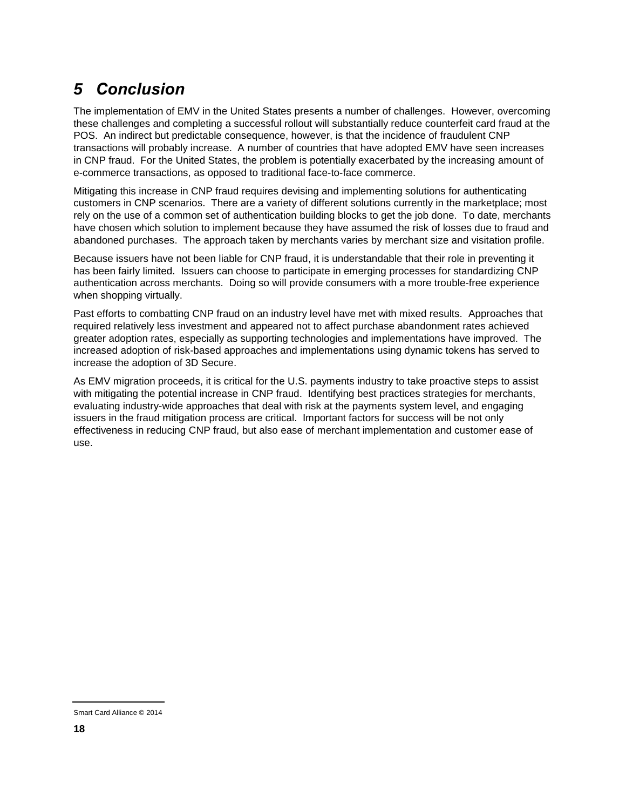# <span id="page-17-0"></span>*5 Conclusion*

The implementation of EMV in the United States presents a number of challenges. However, overcoming these challenges and completing a successful rollout will substantially reduce counterfeit card fraud at the POS. An indirect but predictable consequence, however, is that the incidence of fraudulent CNP transactions will probably increase. A number of countries that have adopted EMV have seen increases in CNP fraud. For the United States, the problem is potentially exacerbated by the increasing amount of e-commerce transactions, as opposed to traditional face-to-face commerce.

Mitigating this increase in CNP fraud requires devising and implementing solutions for authenticating customers in CNP scenarios. There are a variety of different solutions currently in the marketplace; most rely on the use of a common set of authentication building blocks to get the job done. To date, merchants have chosen which solution to implement because they have assumed the risk of losses due to fraud and abandoned purchases. The approach taken by merchants varies by merchant size and visitation profile.

Because issuers have not been liable for CNP fraud, it is understandable that their role in preventing it has been fairly limited. Issuers can choose to participate in emerging processes for standardizing CNP authentication across merchants. Doing so will provide consumers with a more trouble-free experience when shopping virtually.

Past efforts to combatting CNP fraud on an industry level have met with mixed results. Approaches that required relatively less investment and appeared not to affect purchase abandonment rates achieved greater adoption rates, especially as supporting technologies and implementations have improved. The increased adoption of risk-based approaches and implementations using dynamic tokens has served to increase the adoption of 3D Secure.

As EMV migration proceeds, it is critical for the U.S. payments industry to take proactive steps to assist with mitigating the potential increase in CNP fraud. Identifying best practices strategies for merchants, evaluating industry-wide approaches that deal with risk at the payments system level, and engaging issuers in the fraud mitigation process are critical. Important factors for success will be not only effectiveness in reducing CNP fraud, but also ease of merchant implementation and customer ease of use.

Smart Card Alliance © 2014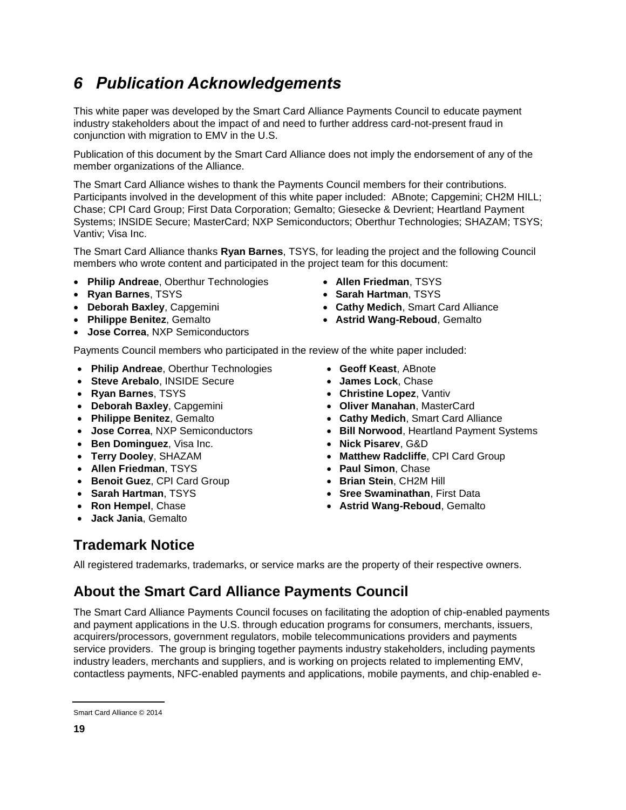# <span id="page-18-0"></span>*6 Publication Acknowledgements*

This white paper was developed by the Smart Card Alliance Payments Council to educate payment industry stakeholders about the impact of and need to further address card-not-present fraud in conjunction with migration to EMV in the U.S.

Publication of this document by the Smart Card Alliance does not imply the endorsement of any of the member organizations of the Alliance.

The Smart Card Alliance wishes to thank the Payments Council members for their contributions. Participants involved in the development of this white paper included: ABnote; Capgemini; CH2M HILL; Chase; CPI Card Group; First Data Corporation; Gemalto; Giesecke & Devrient; Heartland Payment Systems; INSIDE Secure; MasterCard; NXP Semiconductors; Oberthur Technologies; SHAZAM; TSYS; Vantiv; Visa Inc.

The Smart Card Alliance thanks **Ryan Barnes**, TSYS, for leading the project and the following Council members who wrote content and participated in the project team for this document:

- **Philip Andreae**, Oberthur Technologies **Allen Friedman**, TSYS
- 
- 
- 
- **Jose Correa**, NXP Semiconductors
- 
- **Ryan Barnes**, TSYS **Sarah Hartman**, TSYS
- **Deborah Baxley**, Capgemini **Cathy Medich**, Smart Card Alliance
- **Philippe Benitez**, Gemalto **<b>Astrid Wang-Reboud**, Gemalto

Payments Council members who participated in the review of the white paper included:

- **Philip Andreae**, Oberthur Technologies  **Geoff Keast**, ABnote
- **Steve Arebalo**, INSIDE Secure **James Lock**, Chase
- 
- 
- 
- 
- **Ben Dominguez**, Visa Inc. **1998 1998 1998 1998 1998 1998 1999 10**
- 
- **Allen Friedman**, TSYS  **Paul Simon**, Chase
- **Benoit Guez**, CPI Card Group **abuse 2018 b** Brian Stein, CH2M Hill
- 
- 
- **Jack Jania**, Gemalto
- 
- 
- **Ryan Barnes**, TSYS **Christine Lopez**, Vantiv
- **Deborah Baxley**, Capgemini **Oliver Manahan**, MasterCard
- **Philippe Benitez**, Gemalto **Cathy Medich**, Smart Card Alliance
- **Jose Correa**, NXP Semiconductors **<b>Bill Norwood**, Heartland Payment Systems
	-
- **Terry Dooley**, SHAZAM **1998 12 CONTACT 4 Matthew Radcliffe**, CPI Card Group
	-
	-
- **Sarah Hartman**, TSYS **Sree Swaminathan**, First Data
- **Ron Hempel**, Chase *Astrid Wang-Reboud, Gemalto*  **Astrid Wang-Reboud**, Gemalto

### **Trademark Notice**

All registered trademarks, trademarks, or service marks are the property of their respective owners.

# **About the Smart Card Alliance Payments Council**

The Smart Card Alliance Payments Council focuses on facilitating the adoption of chip-enabled payments and payment applications in the U.S. through education programs for consumers, merchants, issuers, acquirers/processors, government regulators, mobile telecommunications providers and payments service providers. The group is bringing together payments industry stakeholders, including payments industry leaders, merchants and suppliers, and is working on projects related to implementing EMV, contactless payments, NFC-enabled payments and applications, mobile payments, and chip-enabled e-

Smart Card Alliance © 2014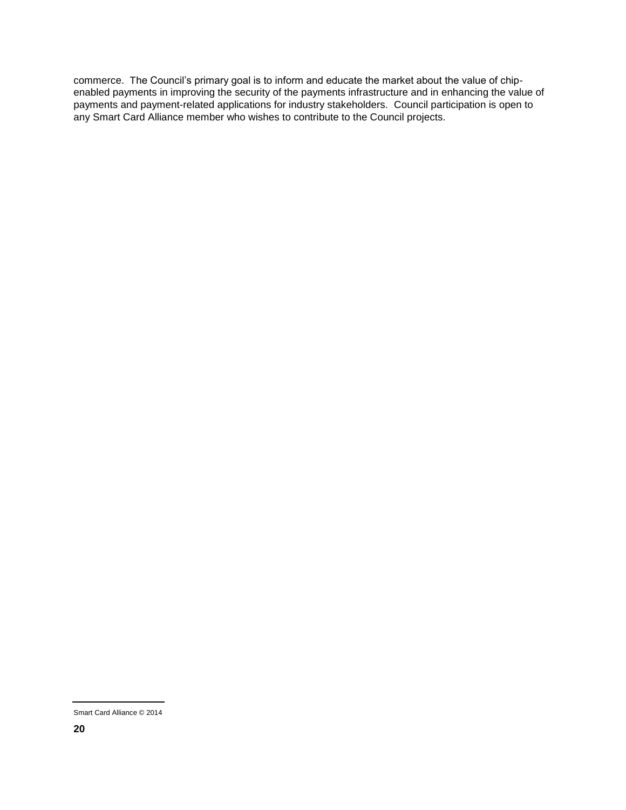commerce. The Council's primary goal is to inform and educate the market about the value of chipenabled payments in improving the security of the payments infrastructure and in enhancing the value of payments and payment-related applications for industry stakeholders. Council participation is open to any Smart Card Alliance member who wishes to contribute to the Council projects.

Smart Card Alliance © 2014